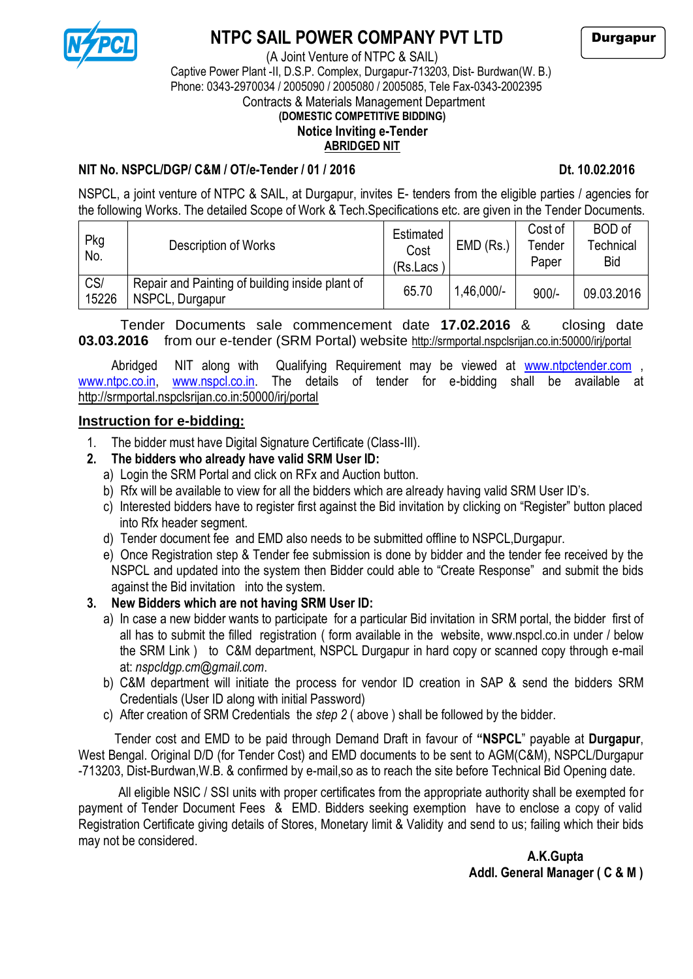

### **NTPC SAIL POWER COMPANY PVT LTD**

(A Joint Venture of NTPC & SAIL)

Durgapur

# Captive Power Plant -II, D.S.P. Complex, Durgapur-713203, Dist- Burdwan(W. B.) Phone: 0343-2970034 / 2005090 / 2005080 / 2005085, Tele Fax-0343-2002395

Contracts & Materials Management Department

### **(DOMESTIC COMPETITIVE BIDDING)**

#### **Notice Inviting e-Tender ABRIDGED NIT**

### **NIT No. NSPCL/DGP/ C&M / OT/e-Tender / 01 / 2016 Dt. 10.02.2016**

NSPCL, a joint venture of NTPC & SAIL, at Durgapur, invites E- tenders from the eligible parties / agencies for the following Works. The detailed Scope of Work & Tech.Specifications etc. are given in the Tender Documents.

| Pkg<br>No.   | Description of Works                                               | <b>Estimated</b><br>Cost<br>$(Rs.Lacs^{\dagger})$ | $EMD$ (Rs.)  | Cost of<br>Tender<br>Paper | <b>BOD</b> of<br>Technical<br><b>Bid</b> |
|--------------|--------------------------------------------------------------------|---------------------------------------------------|--------------|----------------------------|------------------------------------------|
| CS/<br>15226 | Repair and Painting of building inside plant of<br>NSPCL, Durgapur | 65.70                                             | $1,46,000/-$ | $900/-$                    | 09.03.2016                               |

Tender Documents sale commencement date **17.02.2016** & closing date **03.03.2016** from our e-tender (SRM Portal) website http://srmportal.nspclsrijan.co.in:50000/irj/portal

Abridged NIT along with Qualifying Requirement may be viewed at [www.ntpctender.com](http://www.ntpctender.com/) [www.ntpc.co.in,](http://www.ntpc.co.in/) [www.nspcl.co.in.](http://www.nspcl.co.in/) The details of tender for e-bidding shall be available at http://srmportal.nspclsrijan.co.in:50000/irj/portal

#### **Instruction for e-bidding:**

1. The bidder must have Digital Signature Certificate (Class-III).

### **2. The bidders who already have valid SRM User ID:**

- a) Login the SRM Portal and click on RFx and Auction button.
- b) Rfx will be available to view for all the bidders which are already having valid SRM User ID's.
- c) Interested bidders have to register first against the Bid invitation by clicking on "Register" button placed into Rfx header segment.
- d) Tender document fee and EMD also needs to be submitted offline to NSPCL,Durgapur.
- e) Once Registration step & Tender fee submission is done by bidder and the tender fee received by the NSPCL and updated into the system then Bidder could able to "Create Response" and submit the bids against the Bid invitation into the system.

#### **3. New Bidders which are not having SRM User ID:**

- a) In case a new bidder wants to participate for a particular Bid invitation in SRM portal, the bidder first of all has to submit the filled registration ( form available in the website, www.nspcl.co.in under / below the SRM Link ) to C&M department, NSPCL Durgapur in hard copy or scanned copy through e-mail at: *nspcldgp.cm@gmail.com*.
- b) C&M department will initiate the process for vendor ID creation in SAP & send the bidders SRM Credentials (User ID along with initial Password)
- c) After creation of SRM Credentials the *step 2* ( above ) shall be followed by the bidder.

Tender cost and EMD to be paid through Demand Draft in favour of **"NSPCL**" payable at **Durgapur**, West Bengal. Original D/D (for Tender Cost) and EMD documents to be sent to AGM(C&M), NSPCL/Durgapur -713203, Dist-Burdwan,W.B. & confirmed by e-mail,so as to reach the site before Technical Bid Opening date.

 All eligible NSIC / SSI units with proper certificates from the appropriate authority shall be exempted for payment of Tender Document Fees & EMD. Bidders seeking exemption have to enclose a copy of valid Registration Certificate giving details of Stores, Monetary limit & Validity and send to us; failing which their bids may not be considered.

 **A.K.Gupta Addl. General Manager ( C & M )**